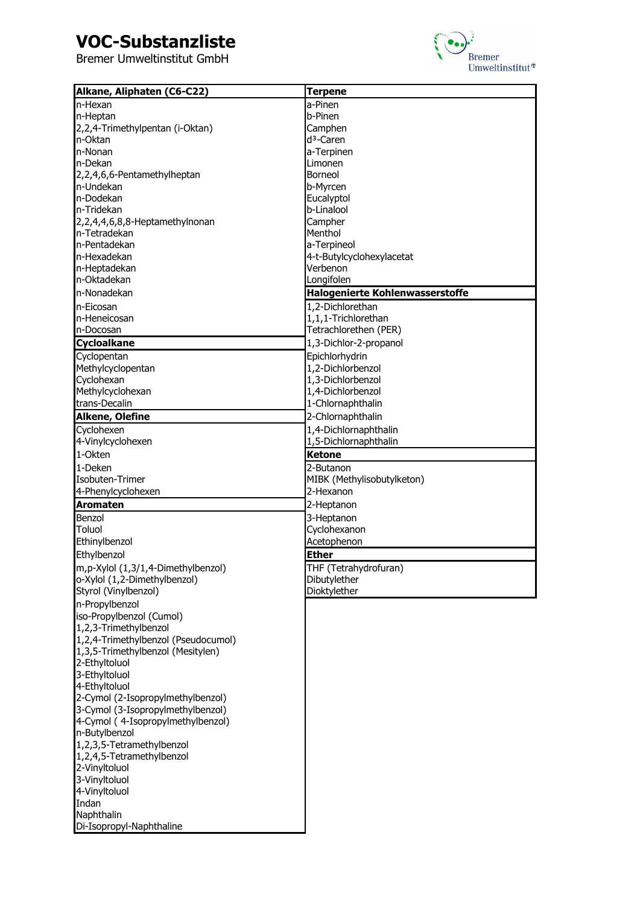# **VOC-Substanzliste**



| Alkane, Aliphaten (C6-C22)                                   | <b>Terpene</b>                  |
|--------------------------------------------------------------|---------------------------------|
| In-Hexan                                                     | a-Pinen                         |
| n-Heptan                                                     | b-Pinen                         |
| 2,2,4-Trimethylpentan (i-Oktan)                              | Camphen                         |
| n-Oktan                                                      | $d^3$ -Caren                    |
| In-Nonan                                                     | a-Terpinen                      |
| In-Dekan                                                     | Limonen                         |
| 2,2,4,6,6-Pentamethylheptan                                  | Borneol                         |
| In-Undekan                                                   | b-Myrcen                        |
| n-Dodekan                                                    | Eucalyptol                      |
| In-Tridekan                                                  | b-Linalool                      |
| 2,2,4,4,6,8,8-Heptamethylnonan                               | Campher                         |
| In-Tetradekan                                                | Menthol                         |
| n-Pentadekan                                                 | a-Terpineol                     |
| n-Hexadekan                                                  | 4-t-Butylcyclohexylacetat       |
| n-Heptadekan                                                 | Verbenon                        |
| n-Oktadekan                                                  | Longifolen                      |
| In-Nonadekan                                                 | Halogenierte Kohlenwasserstoffe |
| In-Eicosan                                                   | 1,2-Dichlorethan                |
| n-Heneicosan                                                 | 1,1,1-Trichlorethan             |
| n-Docosan                                                    | Tetrachlorethen (PER)           |
| <b>Cycloalkane</b>                                           | 1,3-Dichlor-2-propanol          |
| Cyclopentan                                                  | Epichlorhydrin                  |
| Methylcyclopentan                                            | 1,2-Dichlorbenzol               |
| Cyclohexan                                                   | 1,3-Dichlorbenzol               |
| Methylcyclohexan                                             | 1,4-Dichlorbenzol               |
| trans-Decalin                                                | 1-Chlornaphthalin               |
| <b>Alkene, Olefine</b>                                       | 2-Chlornaphthalin               |
| Cyclohexen                                                   | 1,4-Dichlornaphthalin           |
| 4-Vinylcyclohexen                                            | 1,5-Dichlornaphthalin           |
| 1-Okten                                                      | <b>Ketone</b>                   |
| 1-Deken                                                      | 2-Butanon                       |
| Isobuten-Trimer                                              | MIBK (Methylisobutylketon)      |
| 4-Phenylcyclohexen                                           | 2-Hexanon                       |
| <b>Aromaten</b>                                              | 2-Heptanon                      |
|                                                              |                                 |
| Benzol<br>Toluol                                             | 3-Heptanon                      |
| Ethinylbenzol                                                | Cyclohexanon<br>Acetophenon     |
| Ethylbenzol                                                  | <b>Ether</b>                    |
|                                                              |                                 |
| m,p-Xylol (1,3/1,4-Dimethylbenzol)                           | THF (Tetrahydrofuran)           |
| o-Xylol (1,2-Dimethylbenzol)                                 | Dibutylether                    |
| Styrol (Vinylbenzol)                                         | Dioktylether                    |
| n-Propylbenzol                                               |                                 |
| iso-Propylbenzol (Cumol)                                     |                                 |
| 1,2,3-Trimethylbenzol<br>1,2,4-Trimethylbenzol (Pseudocumol) |                                 |
| 1,3,5-Trimethylbenzol (Mesitylen)                            |                                 |
| 2-Ethyltoluol                                                |                                 |
| 3-Ethyltoluol                                                |                                 |
| 4-Ethyltoluol                                                |                                 |
| 2-Cymol (2-Isopropylmethylbenzol)                            |                                 |
| 3-Cymol (3-Isopropylmethylbenzol)                            |                                 |
| 4-Cymol (4-Isopropylmethylbenzol)                            |                                 |
| n-Butylbenzol                                                |                                 |
| 1,2,3,5-Tetramethylbenzol                                    |                                 |
| 1,2,4,5-Tetramethylbenzol                                    |                                 |
| 2-Vinyltoluol                                                |                                 |
| 3-Vinyltoluol                                                |                                 |
| 4-Vinyltoluol                                                |                                 |
| Indan                                                        |                                 |
| Naphthalin                                                   |                                 |
| Di-Isopropyl-Naphthaline                                     |                                 |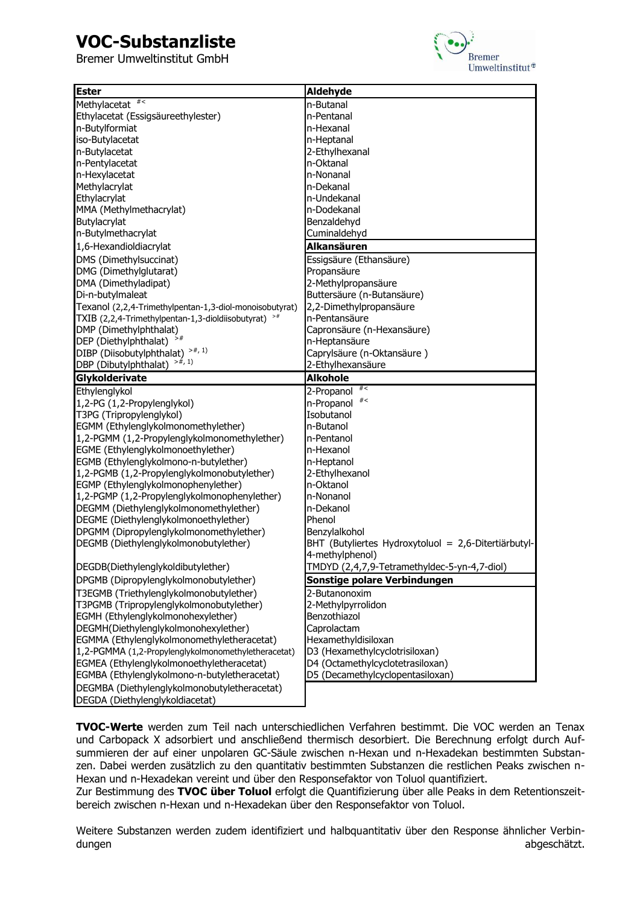# **VOC-Substanzliste**

Bremer Umweltinstitut GmbH



| <b>Ester</b>                                                                              | Aldehyde                                                        |
|-------------------------------------------------------------------------------------------|-----------------------------------------------------------------|
| # $<$<br>Methylacetat                                                                     | n-Butanal                                                       |
| Ethylacetat (Essigsäureethylester)                                                        | n-Pentanal                                                      |
| n-Butylformiat                                                                            | n-Hexanal                                                       |
| iso-Butylacetat                                                                           | n-Heptanal                                                      |
| n-Butylacetat                                                                             | 2-Ethylhexanal                                                  |
| n-Pentylacetat                                                                            | n-Oktanal                                                       |
| n-Hexylacetat                                                                             | n-Nonanal                                                       |
| Methylacrylat                                                                             | n-Dekanal                                                       |
| Ethylacrylat                                                                              | n-Undekanal                                                     |
| MMA (Methylmethacrylat)                                                                   | n-Dodekanal                                                     |
| Butylacrylat                                                                              | Benzaldehyd                                                     |
| n-Butylmethacrylat                                                                        | Cuminaldehyd                                                    |
| 1,6-Hexandioldiacrylat                                                                    | Alkansäuren                                                     |
| DMS (Dimethylsuccinat)                                                                    | Essigsäure (Ethansäure)                                         |
| DMG (Dimethylglutarat)                                                                    | Propansäure                                                     |
| DMA (Dimethyladipat)                                                                      | 2-Methylpropansäure                                             |
| Di-n-butylmaleat                                                                          | Buttersäure (n-Butansäure)                                      |
| Texanol (2,2,4-Trimethylpentan-1,3-diol-monoisobutyrat)                                   | 2,2-Dimethylpropansäure                                         |
| TXIB (2,2,4-Trimethylpentan-1,3-dioldiisobutyrat)                                         | n-Pentansäure                                                   |
| DMP (Dimethylphthalat)                                                                    | Capronsäure (n-Hexansäure)                                      |
| DEP (Diethylphthalat)                                                                     | n-Heptansäure                                                   |
| $>#$ , 1)<br>DIBP (Diisobutylphthalat)                                                    | Caprylsäure (n-Oktansäure)                                      |
| $>#$ , 1)<br>DBP (Dibutylphthalat)                                                        | 2-Ethylhexansäure                                               |
| Glykolderivate                                                                            | <b>Alkohole</b>                                                 |
| Ethylenglykol                                                                             | #<<br>2-Propanol                                                |
| 1,2-PG (1,2-Propylenglykol)                                                               | #<br>n-Propanol                                                 |
| T3PG (Tripropylenglykol)                                                                  | Isobutanol                                                      |
| EGMM (Ethylenglykolmonomethylether)                                                       | n-Butanol                                                       |
| 1,2-PGMM (1,2-Propylenglykolmonomethylether)                                              | n-Pentanol                                                      |
| EGME (Ethylenglykolmonoethylether)                                                        | n-Hexanol                                                       |
| EGMB (Ethylenglykolmono-n-butylether)                                                     | n-Heptanol                                                      |
| 1,2-PGMB (1,2-Propylenglykolmonobutylether)                                               | 2-Ethylhexanol                                                  |
| EGMP (Ethylenglykolmonophenylether)                                                       | n-Oktanol                                                       |
| 1,2-PGMP (1,2-Propylenglykolmonophenylether)                                              | n-Nonanol                                                       |
| DEGMM (Diethylenglykolmonomethylether)                                                    | n-Dekanol                                                       |
| DEGME (Diethylenglykolmonoethylether)                                                     | Phenol                                                          |
| DPGMM (Dipropylenglykolmonomethylether)                                                   | Benzylalkohol                                                   |
| DEGMB (Diethylenglykolmonobutylether)                                                     | BHT (Butyliertes Hydroxytoluol = 2,6-Ditertiärbutyl-            |
|                                                                                           | 4-methylphenol)<br>TMDYD (2,4,7,9-Tetramethyldec-5-yn-4,7-diol) |
| DEGDB(Diethylenglykoldibutylether)<br>DPGMB (Dipropylenglykolmonobutylether)              | Sonstige polare Verbindungen                                    |
|                                                                                           |                                                                 |
| T3EGMB (Triethylenglykolmonobutylether)                                                   | 2-Butanonoxim                                                   |
| T3PGMB (Tripropylenglykolmonobutylether)                                                  | 2-Methylpyrrolidon                                              |
| EGMH (Ethylenglykolmonohexylether)                                                        | Benzothiazol                                                    |
| DEGMH(Diethylenglykolmonohexylether)                                                      | Caprolactam<br>Hexamethyldisiloxan                              |
| EGMMA (Ethylenglykolmonomethyletheracetat)                                                |                                                                 |
| 1,2-PGMMA (1,2-Propylenglykolmonomethyletheracetat)                                       | D3 (Hexamethylcyclotrisiloxan)                                  |
| EGMEA (Ethylenglykolmonoethyletheracetat)<br>EGMBA (Ethylenglykolmono-n-butyletheracetat) | D4 (Octamethylcyclotetrasiloxan)                                |
|                                                                                           | D5 (Decamethylcyclopentasiloxan)                                |
| DEGMBA (Diethylenglykolmonobutyletheracetat)<br>DEGDA (Diethylenglykoldiacetat)           |                                                                 |

**TVOC-Werte** werden zum Teil nach unterschiedlichen Verfahren bestimmt. Die VOC werden an Tenax und Carbopack X adsorbiert und anschließend thermisch desorbiert. Die Berechnung erfolgt durch Aufsummieren der auf einer unpolaren GC-Säule zwischen n-Hexan und n-Hexadekan bestimmten Substanzen. Dabei werden zusätzlich zu den quantitativ bestimmten Substanzen die restlichen Peaks zwischen n-Hexan und n-Hexadekan vereint und über den Responsefaktor von Toluol quantifiziert.

Zur Bestimmung des **TVOC über Toluol** erfolgt die Quantifizierung über alle Peaks in dem Retentionszeitbereich zwischen n-Hexan und n-Hexadekan über den Responsefaktor von Toluol.

Weitere Substanzen werden zudem identifiziert und halbquantitativ über den Response ähnlicher Verbindungen abgeschätzt. Eine abgeschätzt. Eine abgeschätzt. Eine abgeschätzt. Eine abgeschätzt. Eine abgeschätzt.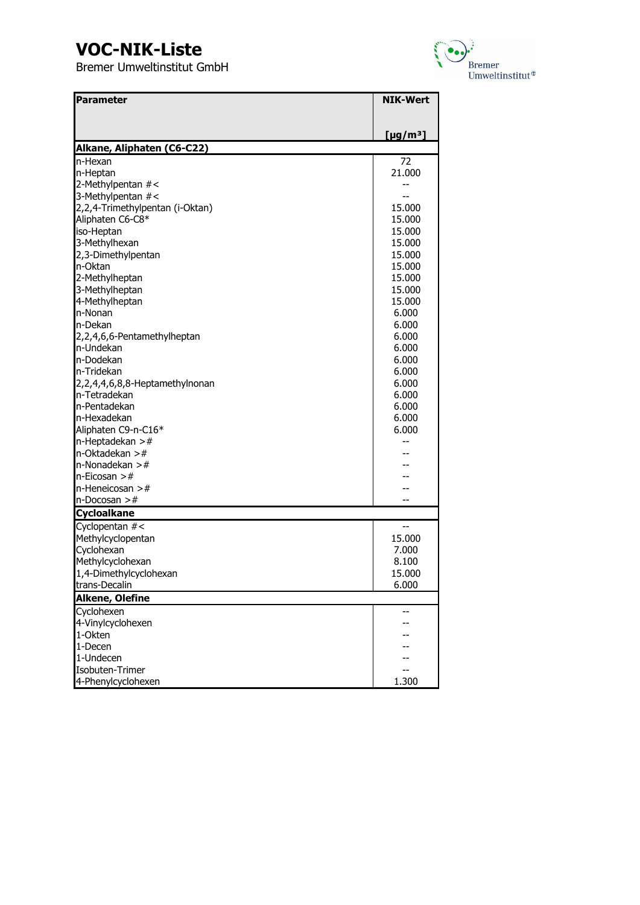

| <b>Parameter</b>                       | <b>NIK-Wert</b>            |
|----------------------------------------|----------------------------|
|                                        |                            |
|                                        |                            |
|                                        | [ $\mu$ g/m <sup>3</sup> ] |
| Alkane, Aliphaten (C6-C22)<br>In-Hexan | 72                         |
| n-Heptan                               | 21.000                     |
| 2-Methylpentan #<                      |                            |
| 3-Methylpentan #<                      |                            |
| 2,2,4-Trimethylpentan (i-Oktan)        | 15.000                     |
| Aliphaten C6-C8*                       | 15.000                     |
| iso-Heptan                             | 15.000                     |
| 3-Methylhexan                          | 15.000                     |
| 2,3-Dimethylpentan                     | 15.000                     |
| n-Oktan                                | 15.000                     |
| 2-Methylheptan                         | 15.000                     |
| 3-Methylheptan                         | 15.000                     |
| 4-Methylheptan                         | 15.000                     |
| In-Nonan                               | 6.000                      |
| n-Dekan                                | 6.000                      |
| 2,2,4,6,6-Pentamethylheptan            | 6.000                      |
| In-Undekan                             | 6.000                      |
| n-Dodekan                              | 6.000                      |
| In-Tridekan                            | 6.000                      |
| 2,2,4,4,6,8,8-Heptamethylnonan         | 6.000                      |
| n-Tetradekan                           | 6.000                      |
| n-Pentadekan                           | 6.000                      |
| n-Hexadekan                            | 6.000                      |
| Aliphaten C9-n-C16*                    | 6.000                      |
| n-Heptadekan $>$ #                     |                            |
| n-Oktadekan $>$ #                      |                            |
| n-Nonadekan $>$ #                      |                            |
| n-Eicosan $>$ #                        |                            |
| $n$ -Heneicosan >#                     |                            |
| $n$ -Docosan >#                        |                            |
| <b>Cycloalkane</b>                     |                            |
| Cyclopentan #<                         |                            |
| Methylcyclopentan                      | 15.000                     |
| Cyclohexan                             | 7.000                      |
| Methylcyclohexan                       | 8.100                      |
| 1,4-Dimethylcyclohexan                 | 15.000                     |
| trans-Decalin                          | 6.000                      |
| Alkene, Olefine                        |                            |
| Cyclohexen                             |                            |
| 4-Vinylcyclohexen                      |                            |
| 1-Okten                                |                            |
| 1-Decen                                |                            |
| 1-Undecen                              |                            |
| Isobuten-Trimer                        |                            |
| 4-Phenylcyclohexen                     | 1.300                      |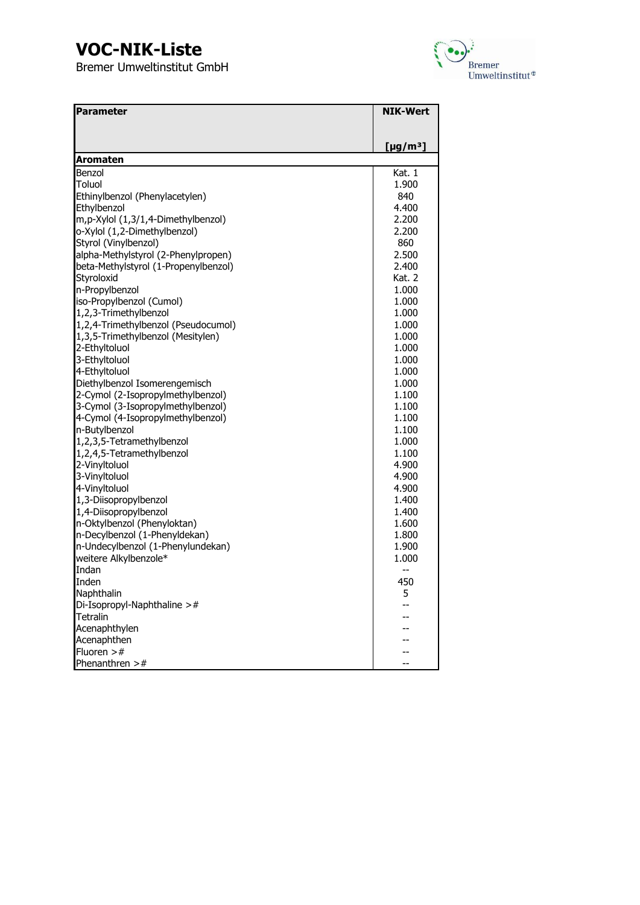

| Parameter                            | <b>NIK-Wert</b>           |
|--------------------------------------|---------------------------|
|                                      |                           |
|                                      |                           |
|                                      | $[\mu$ g/m <sup>3</sup> ] |
| <b>Aromaten</b>                      |                           |
| Benzol                               | Kat. 1                    |
| Toluol                               | 1.900                     |
| Ethinylbenzol (Phenylacetylen)       | 840                       |
| Ethylbenzol                          | 4.400                     |
| m,p-Xylol (1,3/1,4-Dimethylbenzol)   | 2.200                     |
| o-Xylol (1,2-Dimethylbenzol)         | 2.200                     |
| Styrol (Vinylbenzol)                 | 860                       |
| alpha-Methylstyrol (2-Phenylpropen)  | 2.500                     |
| beta-Methylstyrol (1-Propenylbenzol) | 2.400                     |
| Styroloxid                           | Kat. 2                    |
| n-Propylbenzol                       | 1.000                     |
| iso-Propylbenzol (Cumol)             | 1.000                     |
| 1,2,3-Trimethylbenzol                | 1.000                     |
| 1,2,4-Trimethylbenzol (Pseudocumol)  | 1.000                     |
| 1,3,5-Trimethylbenzol (Mesitylen)    | 1.000                     |
| 2-Ethyltoluol                        | 1.000                     |
| 3-Ethyltoluol                        | 1.000                     |
| 4-Ethyltoluol                        | 1.000                     |
| Diethylbenzol Isomerengemisch        | 1.000                     |
| 2-Cymol (2-Isopropylmethylbenzol)    | 1.100                     |
| 3-Cymol (3-Isopropylmethylbenzol)    | 1.100                     |
| 4-Cymol (4-Isopropylmethylbenzol)    | 1.100                     |
| n-Butylbenzol                        | 1.100                     |
| 1,2,3,5-Tetramethylbenzol            | 1.000                     |
| 1,2,4,5-Tetramethylbenzol            | 1.100                     |
| 2-Vinyltoluol                        | 4.900                     |
| 3-Vinyltoluol                        | 4.900                     |
| 4-Vinyltoluol                        | 4.900                     |
| 1,3-Diisopropylbenzol                | 1.400                     |
| 1,4-Diisopropylbenzol                | 1.400                     |
| n-Oktylbenzol (Phenyloktan)          | 1.600                     |
| n-Decylbenzol (1-Phenyldekan)        | 1.800                     |
| n-Undecylbenzol (1-Phenylundekan)    | 1.900                     |
| weitere Alkylbenzole*                | 1.000                     |
| Indan                                | --                        |
| Inden                                | 450                       |
| Naphthalin                           | 5                         |
| Di-Isopropyl-Naphthaline $>$ #       |                           |
| Tetralin                             |                           |
| Acenaphthylen                        |                           |
| Acenaphthen                          |                           |
| Fluoren $>$ #                        |                           |
| Phenanthren $>$ #                    |                           |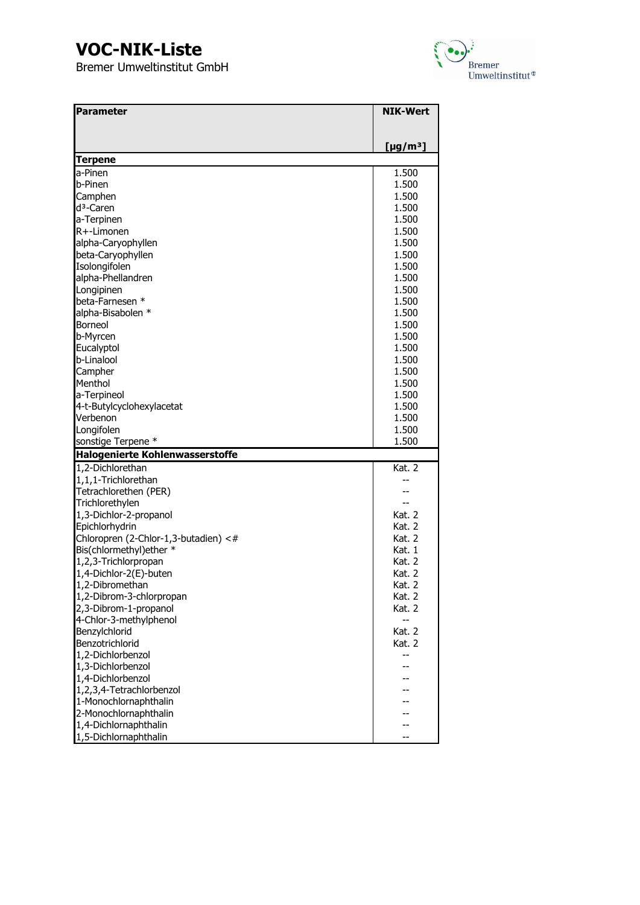

| Parameter                              | <b>NIK-Wert</b>      |
|----------------------------------------|----------------------|
|                                        |                      |
|                                        |                      |
|                                        | [µg/m <sup>3</sup> ] |
| <b>Terpene</b>                         |                      |
| a-Pinen                                | 1.500                |
| b-Pinen                                | 1.500                |
| Camphen                                | 1.500                |
| d <sup>3</sup> -Caren                  | 1.500                |
| a-Terpinen                             | 1.500                |
| R+-Limonen                             | 1.500                |
| alpha-Caryophyllen                     | 1.500                |
| beta-Caryophyllen                      | 1.500                |
| Isolongifolen                          | 1.500                |
| alpha-Phellandren                      | 1.500                |
| Longipinen                             | 1.500                |
| beta-Farnesen *                        | 1.500                |
| alpha-Bisabolen *                      | 1.500                |
| <b>Borneol</b>                         | 1.500                |
| b-Myrcen                               | 1.500                |
| Eucalyptol                             | 1.500                |
| b-Linalool                             | 1.500                |
| Campher                                | 1.500                |
| Menthol                                | 1.500                |
| a-Terpineol                            | 1.500                |
| 4-t-Butylcyclohexylacetat              | 1.500                |
| Verbenon                               | 1.500                |
| Longifolen                             | 1.500                |
| sonstige Terpene *                     | 1.500                |
| <b>Halogenierte Kohlenwasserstoffe</b> |                      |
| 1,2-Dichlorethan                       | Kat. 2               |
| 1,1,1-Trichlorethan                    |                      |
| Tetrachlorethen (PER)                  |                      |
| Trichlorethylen                        |                      |
| 1,3-Dichlor-2-propanol                 | <b>Kat. 2</b>        |
| Epichlorhydrin                         | Kat. 2               |
| Chloropren (2-Chlor-1,3-butadien) <#   | Kat. 2               |
| Bis(chlormethyl)ether *                | Kat. 1               |
| 1,2,3-Trichlorpropan                   | Kat. 2               |
| 1,4-Dichlor-2(E)-buten                 | Kat. 2               |
| 1,2-Dibromethan                        | Kat. 2               |
| 1,2-Dibrom-3-chlorpropan               | Kat. 2               |
| 2,3-Dibrom-1-propanol                  | Kat. 2               |
| 4-Chlor-3-methylphenol                 |                      |
| Benzylchlorid                          | Kat. 2               |
| Benzotrichlorid                        | Kat. 2               |
| 1,2-Dichlorbenzol                      | --                   |
| 1,3-Dichlorbenzol                      |                      |
| 1,4-Dichlorbenzol                      |                      |
| 1,2,3,4-Tetrachlorbenzol               |                      |
| 1-Monochlornaphthalin                  |                      |
| 2-Monochlornaphthalin                  |                      |
| 1,4-Dichlornaphthalin                  |                      |
| 1,5-Dichlornaphthalin                  |                      |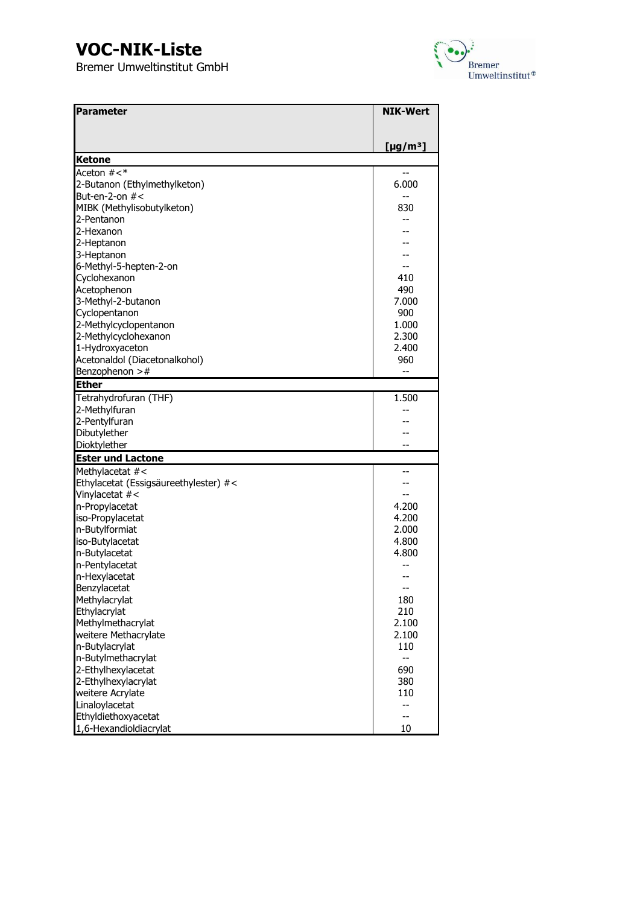

| <b>Parameter</b>                      | <b>NIK-Wert</b>      |
|---------------------------------------|----------------------|
|                                       |                      |
|                                       | [µg/m <sup>3</sup> ] |
| <b>Ketone</b>                         |                      |
| Aceton $#<^*$                         |                      |
| 2-Butanon (Ethylmethylketon)          | 6.000                |
| But-en-2-on $#$ <                     | --                   |
| MIBK (Methylisobutylketon)            | 830                  |
| 2-Pentanon                            |                      |
| 2-Hexanon                             |                      |
| 2-Heptanon                            |                      |
| 3-Heptanon                            |                      |
| 6-Methyl-5-hepten-2-on                |                      |
| Cyclohexanon                          | 410                  |
| Acetophenon                           | 490                  |
| 3-Methyl-2-butanon                    | 7.000                |
| Cyclopentanon                         | 900                  |
| 2-Methylcyclopentanon                 | 1.000                |
| 2-Methylcyclohexanon                  | 2.300                |
| 1-Hydroxyaceton                       | 2.400                |
| Acetonaldol (Diacetonalkohol)         | 960                  |
| Benzophenon $>$ #                     | --                   |
| <b>Ether</b>                          |                      |
| Tetrahydrofuran (THF)                 | 1.500                |
| 2-Methylfuran                         |                      |
| 2-Pentylfuran                         |                      |
| Dibutylether                          |                      |
| Dioktylether                          |                      |
| <b>Ester und Lactone</b>              |                      |
| Methylacetat #<                       |                      |
| Ethylacetat (Essigsäureethylester) #< |                      |
| Vinylacetat #<                        |                      |
| n-Propylacetat                        | 4.200                |
| iso-Propylacetat                      | 4.200                |
| n-Butylformiat                        | 2.000                |
| iso-Butylacetat                       | 4.800                |
| n-Butylacetat                         | 4.800                |
| n-Pentylacetat                        |                      |
| n-Hexylacetat                         |                      |
| Benzylacetat                          | --                   |
| Methylacrylat                         | 180                  |
| Ethylacrylat                          | 210                  |
| Methylmethacrylat                     | 2.100                |
| weitere Methacrylate                  | 2.100                |
| n-Butylacrylat                        | 110                  |
| n-Butylmethacrylat                    | --                   |
| 2-Ethylhexylacetat                    | 690                  |
| 2-Ethylhexylacrylat                   | 380                  |
| weitere Acrylate                      | 110                  |
| Linaloylacetat                        | --                   |
| Ethyldiethoxyacetat                   | --                   |
| 1,6-Hexandioldiacrylat                | 10                   |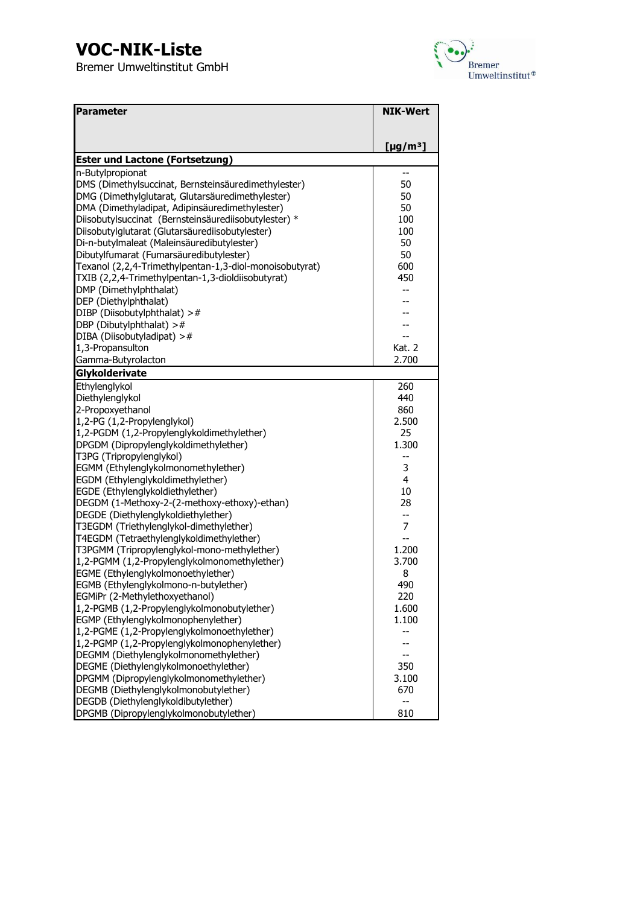

| <b>Parameter</b>                                        | <b>NIK-Wert</b>      |
|---------------------------------------------------------|----------------------|
|                                                         |                      |
|                                                         | [µg/m <sup>3</sup> ] |
| <b>Ester und Lactone (Fortsetzung)</b>                  |                      |
| n-Butylpropionat                                        | --                   |
| DMS (Dimethylsuccinat, Bernsteinsäuredimethylester)     | 50                   |
| DMG (Dimethylglutarat, Glutarsäuredimethylester)        | 50                   |
| DMA (Dimethyladipat, Adipinsäuredimethylester)          | 50                   |
| Diisobutylsuccinat (Bernsteinsäurediisobutylester) *    | 100                  |
| Diisobutylglutarat (Glutarsäurediisobutylester)         | 100                  |
| Di-n-butylmaleat (Maleinsäuredibutylester)              | 50                   |
| Dibutylfumarat (Fumarsäuredibutylester)                 | 50                   |
| Texanol (2,2,4-Trimethylpentan-1,3-diol-monoisobutyrat) | 600                  |
| TXIB (2,2,4-Trimethylpentan-1,3-dioldiisobutyrat)       | 450                  |
| DMP (Dimethylphthalat)                                  | --                   |
| DEP (Diethylphthalat)                                   |                      |
| DIBP (Diisobutylphthalat) >#                            |                      |
| DBP (Dibutylphthalat) $>$ #                             |                      |
| DIBA (Diisobutyladipat) >#                              | Kat. 2               |
| 1,3-Propansulton                                        |                      |
| Gamma-Butyrolacton<br>Glykolderivate                    | 2.700                |
| Ethylenglykol                                           | 260                  |
| Diethylenglykol                                         | 440                  |
| 2-Propoxyethanol                                        | 860                  |
| 1,2-PG (1,2-Propylenglykol)                             | 2.500                |
| 1,2-PGDM (1,2-Propylenglykoldimethylether)              | 25                   |
| DPGDM (Dipropylenglykoldimethylether)                   | 1.300                |
| T3PG (Tripropylenglykol)                                |                      |
| EGMM (Ethylenglykolmonomethylether)                     | 3                    |
| EGDM (Ethylenglykoldimethylether)                       | 4                    |
| EGDE (Ethylenglykoldiethylether)                        | 10                   |
| DEGDM (1-Methoxy-2-(2-methoxy-ethoxy)-ethan)            | 28                   |
| DEGDE (Diethylenglykoldiethylether)                     | --                   |
| T3EGDM (Triethylenglykol-dimethylether)                 | 7                    |
| T4EGDM (Tetraethylenglykoldimethylether)                |                      |
| T3PGMM (Tripropylenglykol-mono-methylether)             | 1.200                |
| 1,2-PGMM (1,2-Propylenglykolmonomethylether)            | 3.700                |
| EGME (Ethylenglykolmonoethylether)                      | 8                    |
| EGMB (Ethylenglykolmono-n-butylether)                   | 490                  |
| EGMiPr (2-Methylethoxyethanol)                          | 220                  |
| 1,2-PGMB (1,2-Propylenglykolmonobutylether)             | 1.600                |
| EGMP (Ethylenglykolmonophenylether)                     | 1.100                |
| 1,2-PGME (1,2-Propylenglykolmonoethylether)             |                      |
| 1,2-PGMP (1,2-Propylenglykolmonophenylether)            |                      |
| DEGMM (Diethylenglykolmonomethylether)                  |                      |
| DEGME (Diethylenglykolmonoethylether)                   | 350                  |
| DPGMM (Dipropylenglykolmonomethylether)                 | 3.100                |
| DEGMB (Diethylenglykolmonobutylether)                   | 670                  |
| DEGDB (Diethylenglykoldibutylether)                     | --                   |
| DPGMB (Dipropylenglykolmonobutylether)                  | 810                  |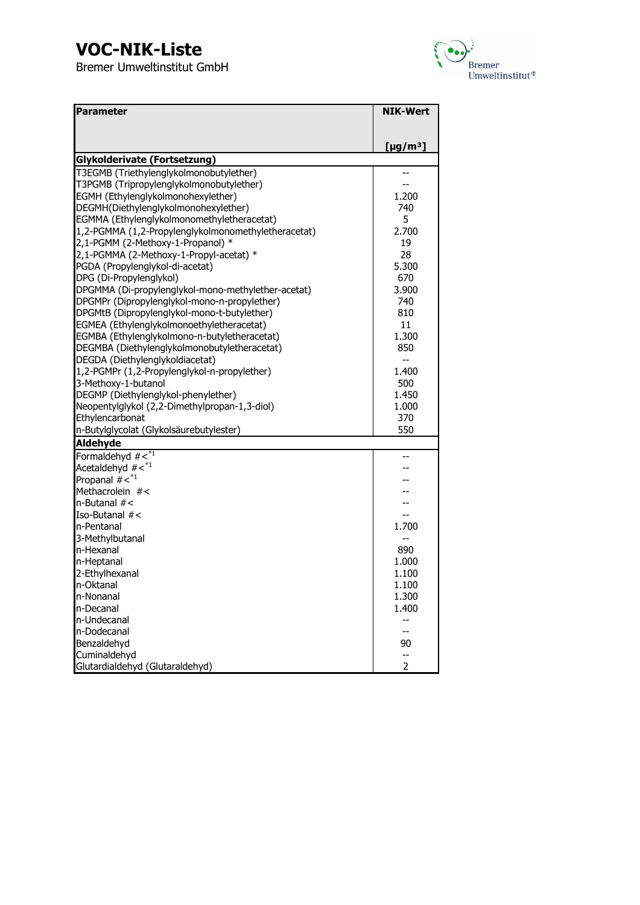

| Parameter                                           | <b>NIK-Wert</b>            |
|-----------------------------------------------------|----------------------------|
|                                                     |                            |
|                                                     | [ $\mu$ g/m <sup>3</sup> ] |
| Glykolderivate (Fortsetzung)                        |                            |
| T3EGMB (Triethylenglykolmonobutylether)             |                            |
| T3PGMB (Tripropylenglykolmonobutylether)            |                            |
| EGMH (Ethylenglykolmonohexylether)                  | 1.200                      |
| DEGMH(Diethylenglykolmonohexylether)                | 740                        |
| EGMMA (Ethylenglykolmonomethyletheracetat)          | 5                          |
| 1,2-PGMMA (1,2-Propylenglykolmonomethyletheracetat) | 2.700                      |
| 2,1-PGMM (2-Methoxy-1-Propanol) *                   | 19                         |
| 2,1-PGMMA (2-Methoxy-1-Propyl-acetat) *             | 28                         |
| PGDA (Propylenglykol-di-acetat)                     | 5.300                      |
| DPG (Di-Propylenglykol)                             | 670                        |
| DPGMMA (Di-propylenglykol-mono-methylether-acetat)  | 3.900                      |
| DPGMPr (Dipropylenglykol-mono-n-propylether)        | 740                        |
| DPGMtB (Dipropylenglykol-mono-t-butylether)         | 810                        |
| EGMEA (Ethylenglykolmonoethyletheracetat)           | 11                         |
| EGMBA (Ethylenglykolmono-n-butyletheracetat)        | 1.300                      |
| DEGMBA (Diethylenglykolmonobutyletheracetat)        | 850                        |
| DEGDA (Diethylenglykoldiacetat)                     |                            |
| 1,2-PGMPr (1,2-Propylenglykol-n-propylether)        | 1.400                      |
| 3-Methoxy-1-butanol                                 | 500                        |
| DEGMP (Diethylenglykol-phenylether)                 | 1.450                      |
| Neopentylglykol (2,2-Dimethylpropan-1,3-diol)       | 1.000                      |
| Ethylencarbonat                                     | 370                        |
| n-Butylglycolat (Glykolsäurebutylester)             | 550                        |
| Aldehyde                                            |                            |
| Formaldehyd $\# \leq^* 1$                           |                            |
| Acetaldehyd $\#$ < $*^1$                            |                            |
| Propanal $\#$ < $*^1$                               |                            |
| Methacrolein #<                                     |                            |
| $n$ -Butanal $#$ <                                  |                            |
| Iso-Butanal $#$ <                                   |                            |
| n-Pentanal                                          | 1.700                      |
| 3-Methylbutanal                                     |                            |
| n-Hexanal                                           | 890                        |
| n-Heptanal                                          | 1.000                      |
| 2-Ethylhexanal                                      | 1.100                      |
| n-Oktanal                                           | 1.100                      |
| n-Nonanal                                           | 1.300                      |
| n-Decanal                                           | 1.400                      |
| n-Undecanal                                         | --                         |
| n-Dodecanal                                         | --                         |
| Benzaldehyd                                         | 90                         |
| Cuminaldehyd                                        | --                         |
| Glutardialdehyd (Glutaraldehyd)                     | $\overline{2}$             |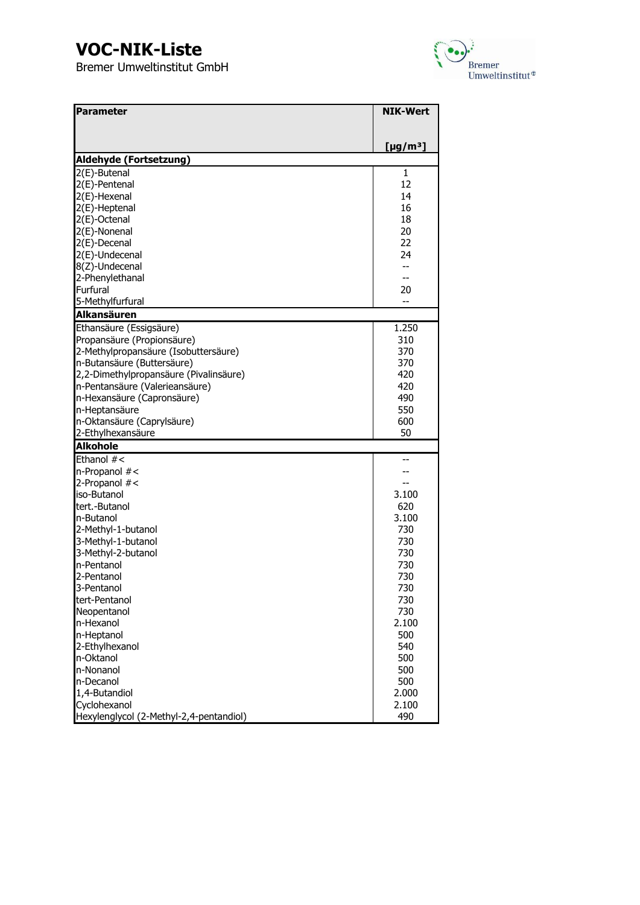

| <b>Parameter</b>                        | <b>NIK-Wert</b>      |
|-----------------------------------------|----------------------|
|                                         |                      |
|                                         | [µg/m <sup>3</sup> ] |
| Aldehyde (Fortsetzung)                  |                      |
| 2(E)-Butenal                            | $\mathbf{1}$         |
| 2(E)-Pentenal                           | 12                   |
| 2(E)-Hexenal                            | 14                   |
| 2(E)-Heptenal                           | 16                   |
| 2(E)-Octenal                            | 18                   |
| 2(E)-Nonenal                            | 20                   |
| 2(E)-Decenal                            | 22                   |
| 2(E)-Undecenal                          | 24                   |
| 8(Z)-Undecenal                          | $-$                  |
| 2-Phenylethanal                         | --                   |
| Furfural                                | 20                   |
| 5-Methylfurfural                        |                      |
| <b>Alkansäuren</b>                      |                      |
| Ethansäure (Essigsäure)                 | 1.250                |
| Propansäure (Propionsäure)              | 310                  |
| 2-Methylpropansäure (Isobuttersäure)    | 370                  |
| n-Butansäure (Buttersäure)              | 370                  |
| 2,2-Dimethylpropansäure (Pivalinsäure)  | 420                  |
| n-Pentansäure (Valerieansäure)          | 420                  |
| n-Hexansäure (Capronsäure)              | 490                  |
| n-Heptansäure                           | 550                  |
| n-Oktansäure (Caprylsäure)              | 600                  |
| 2-Ethylhexansäure                       | 50                   |
| <b>Alkohole</b>                         |                      |
| Ethanol #<                              |                      |
| n-Propanol #<                           |                      |
| 2-Propanol #<                           |                      |
| iso-Butanol                             | 3.100                |
| tert.-Butanol                           | 620                  |
| n-Butanol                               | 3.100                |
| 2-Methyl-1-butanol                      | 730                  |
| 3-Methyl-1-butanol                      | 730                  |
| 3-Methyl-2-butanol                      | 730                  |
| n-Pentanol                              | 730                  |
| 2-Pentanol                              | 730                  |
| 3-Pentanol                              | 730                  |
| tert-Pentanol                           | 730                  |
| Neopentanol                             | 730                  |
| n-Hexanol                               | 2.100                |
| n-Heptanol                              | 500                  |
| 2-Ethylhexanol                          | 540                  |
| n-Oktanol                               | 500                  |
| n-Nonanol                               | 500                  |
| n-Decanol                               | 500                  |
| 1,4-Butandiol                           | 2.000                |
| Cyclohexanol                            | 2.100                |
| Hexylenglycol (2-Methyl-2,4-pentandiol) | 490                  |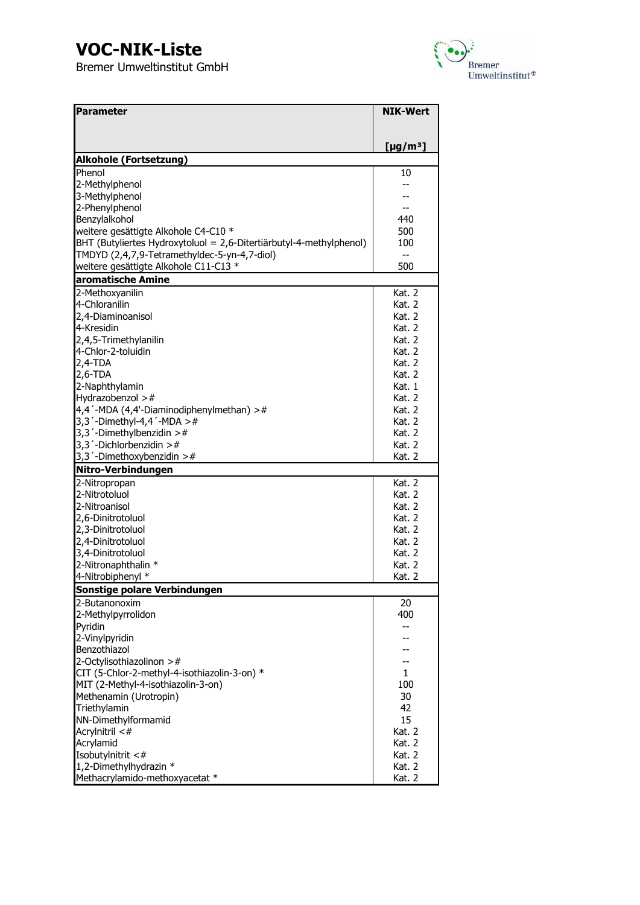

| <b>Parameter</b>                                                    | <b>NIK-Wert</b>         |
|---------------------------------------------------------------------|-------------------------|
|                                                                     |                         |
|                                                                     |                         |
|                                                                     | [µg/m <sup>3</sup> ]    |
| <b>Alkohole (Fortsetzung)</b>                                       |                         |
| Phenol                                                              | 10                      |
| 2-Methylphenol                                                      |                         |
| 3-Methylphenol                                                      |                         |
| 2-Phenylphenol                                                      | --                      |
| Benzylalkohol                                                       | 440                     |
| weitere gesättigte Alkohole C4-C10 *                                | 500                     |
| BHT (Butyliertes Hydroxytoluol = 2,6-Ditertiärbutyl-4-methylphenol) | 100                     |
| TMDYD (2,4,7,9-Tetramethyldec-5-yn-4,7-diol)                        | --                      |
| weitere gesättigte Alkohole C11-C13 *                               | 500                     |
| aromatische Amine                                                   |                         |
| 2-Methoxyanilin                                                     | <b>Kat. 2</b>           |
| 4-Chloranilin                                                       | <b>Kat. 2</b><br>Kat. 2 |
| 2,4-Diaminoanisol<br>4-Kresidin                                     | <b>Kat. 2</b>           |
| 2,4,5-Trimethylanilin                                               | Kat. 2                  |
| 4-Chlor-2-toluidin                                                  | Kat. 2                  |
| $2,4$ -TDA                                                          | <b>Kat. 2</b>           |
| $2,6$ -TDA                                                          | <b>Kat. 2</b>           |
| 2-Naphthylamin                                                      | Kat. 1                  |
| Hydrazobenzol $>$ #                                                 | Kat. 2                  |
| 4,4'-MDA (4,4'-Diaminodiphenylmethan) >#                            | <b>Kat. 2</b>           |
| 3,3 $'$ -Dimethyl-4,4 $'$ -MDA >#                                   | <b>Kat. 2</b>           |
| 3,3 $\degree$ -Dimethylbenzidin >#                                  | <b>Kat. 2</b>           |
| $3,3'$ -Dichlorbenzidin >#                                          | <b>Kat. 2</b>           |
| 3,3 $\degree$ -Dimethoxybenzidin >#                                 | Kat. 2                  |
| Nitro-Verbindungen                                                  |                         |
| 2-Nitropropan                                                       | <b>Kat. 2</b>           |
| 2-Nitrotoluol                                                       | Kat. 2                  |
| 2-Nitroanisol                                                       | <b>Kat. 2</b>           |
| 2,6-Dinitrotoluol                                                   | <b>Kat. 2</b>           |
| 2,3-Dinitrotoluol                                                   | Kat. 2                  |
| 2,4-Dinitrotoluol                                                   | Kat. 2                  |
| 3,4-Dinitrotoluol                                                   | Kat. 2                  |
| 2-Nitronaphthalin *                                                 | Kat. 2                  |
| 4-Nitrobiphenyl *                                                   | Kat. 2                  |
| Sonstige polare Verbindungen                                        |                         |
| 2-Butanonoxim                                                       | 20                      |
| 2-Methylpyrrolidon                                                  | 400                     |
| Pyridin                                                             | --                      |
| 2-Vinylpyridin                                                      |                         |
| Benzothiazol                                                        |                         |
| 2-Octylisothiazolinon >#                                            |                         |
| CIT (5-Chlor-2-methyl-4-isothiazolin-3-on) *                        | $\mathbf{1}$            |
| MIT (2-Methyl-4-isothiazolin-3-on)                                  | 100                     |
| Methenamin (Urotropin)                                              | 30                      |
| Triethylamin                                                        | 42                      |
| NN-Dimethylformamid                                                 | 15                      |
| Acrylnitril <#<br>Acrylamid                                         | Kat. 2<br>Kat. 2        |
| Isobutylnitrit <#                                                   | Kat. 2                  |
| 1,2-Dimethylhydrazin *                                              | Kat. 2                  |
| Methacrylamido-methoxyacetat *                                      | Kat. 2                  |